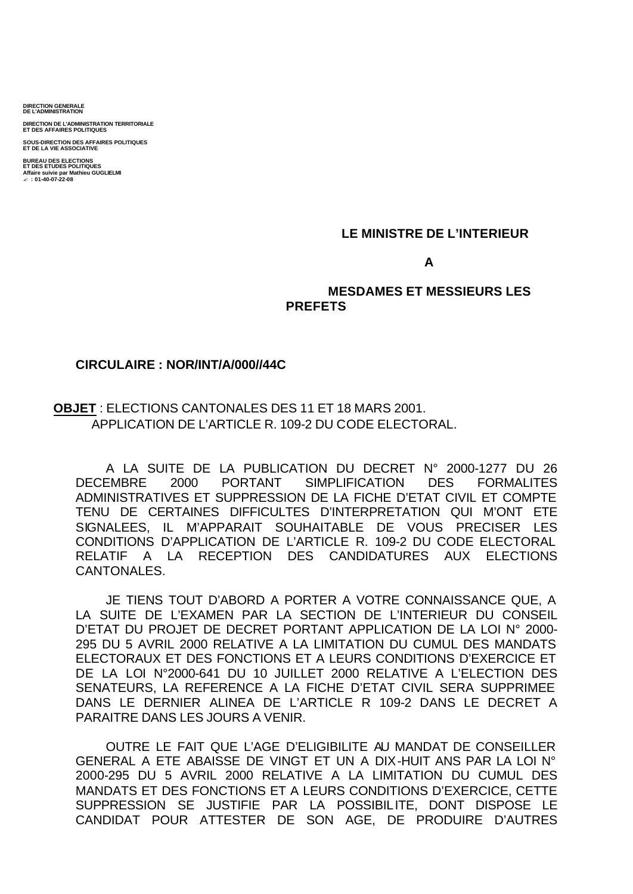**DIRECTION GENERALE DE L'ADMINISTRATION**

**DIRECTION DE L'ADMINISTRATION TERRITORIALE ET DES AFFAIRES POLITIQUES**

**SOUS-DIRECTION DES AFFAIRES POLITIQUES ET DE LA VIE ASSOCIATIVE BUREAU DES ELECTIONS ET DES ETUDES POLITIQUES Affaire suivie par Mathieu GUGLIELMI** ? **: 01-40-07-22-08**

#### **LE MINISTRE DE L'INTERIEUR**

#### **A**

## **MESDAMES ET MESSIEURS LES PREFETS**

## **CIRCULAIRE : NOR/INT/A/000//44C**

# **OBJET** : ELECTIONS CANTONALES DES 11 ET 18 MARS 2001. APPLICATION DE L'ARTICLE R. 109-2 DU CODE ELECTORAL.

A LA SUITE DE LA PUBLICATION DU DECRET N° 2000-1277 DU 26 DECEMBRE 2000 PORTANT SIMPLIFICATION DES FORMALITES ADMINISTRATIVES ET SUPPRESSION DE LA FICHE D'ETAT CIVIL ET COMPTE TENU DE CERTAINES DIFFICULTES D'INTERPRETATION QUI M'ONT ETE SIGNALEES, IL M'APPARAIT SOUHAITABLE DE VOUS PRECISER LES CONDITIONS D'APPLICATION DE L'ARTICLE R. 109-2 DU CODE ELECTORAL RELATIF A LA RECEPTION DES CANDIDATURES AUX ELECTIONS CANTONALES.

JE TIENS TOUT D'ABORD A PORTER A VOTRE CONNAISSANCE QUE, A LA SUITE DE L'EXAMEN PAR LA SECTION DE L'INTERIEUR DU CONSEIL D'ETAT DU PROJET DE DECRET PORTANT APPLICATION DE LA LOI N° 2000- 295 DU 5 AVRIL 2000 RELATIVE A LA LIMITATION DU CUMUL DES MANDATS ELECTORAUX ET DES FONCTIONS ET A LEURS CONDITIONS D'EXERCICE ET DE LA LOI N°2000-641 DU 10 JUILLET 2000 RELATIVE A L'ELECTION DES SENATEURS, LA REFERENCE A LA FICHE D'ETAT CIVIL SERA SUPPRIMEE DANS LE DERNIER ALINEA DE L'ARTICLE R 109-2 DANS LE DECRET A PARAITRE DANS LES JOURS A VENIR.

OUTRE LE FAIT QUE L'AGE D'ELIGIBILITE AU MANDAT DE CONSEILLER GENERAL A ETE ABAISSE DE VINGT ET UN A DIX-HUIT ANS PAR LA LOI N° 2000-295 DU 5 AVRIL 2000 RELATIVE A LA LIMITATION DU CUMUL DES MANDATS ET DES FONCTIONS ET A LEURS CONDITIONS D'EXERCICE, CETTE SUPPRESSION SE JUSTIFIE PAR LA POSSIBILITE, DONT DISPOSE LE CANDIDAT POUR ATTESTER DE SON AGE, DE PRODUIRE D'AUTRES